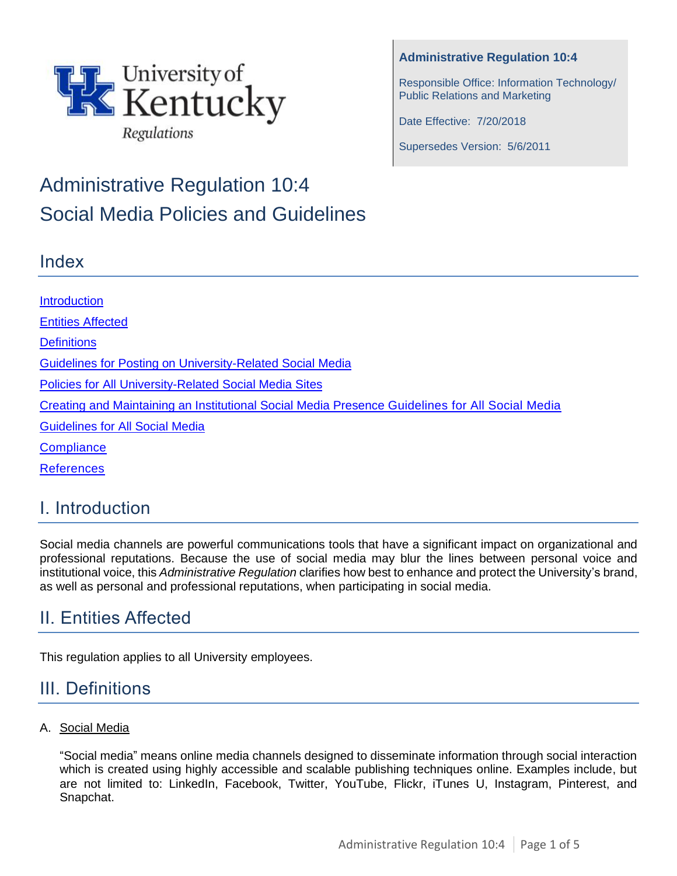

# Administrative Regulation 10:4 Social Media Policies and Guidelines

### Index

### **Administrative Regulation 10:4**

Responsible Office: Information Technology/ Public Relations and Marketing

Date Effective: 7/20/2018

Supersedes Version: 5/6/2011

**[Introduction](#page-0-0)** [Entities Affected](#page-0-1) **[Definitions](#page-0-2)** [Guidelines for Posting on University-Related Social Media](#page-1-0) [Policies for All University-Related Social Media](#page-1-1) Sites [Creating and Maintaining an Institutional Social Media Presence Guidelines for All Social Media](#page-3-0) [Guidelines for All Social Media](#page-3-1) **[Compliance](#page-4-0)** [References](#page-4-1)

## <span id="page-0-0"></span>I. Introduction

Social media channels are powerful communications tools that have a significant impact on organizational and professional reputations. Because the use of social media may blur the lines between personal voice and institutional voice, this *Administrative Regulation* clarifies how best to enhance and protect the University's brand, as well as personal and professional reputations, when participating in social media.

# <span id="page-0-1"></span>II. Entities Affected

This regulation applies to all University employees.

## <span id="page-0-2"></span>III. Definitions

### A. Social Media

"Social media" means online media channels designed to disseminate information through social interaction which is created using highly accessible and scalable publishing techniques online. Examples include, but are not limited to: LinkedIn, Facebook, Twitter, YouTube, Flickr, iTunes U, Instagram, Pinterest, and Snapchat.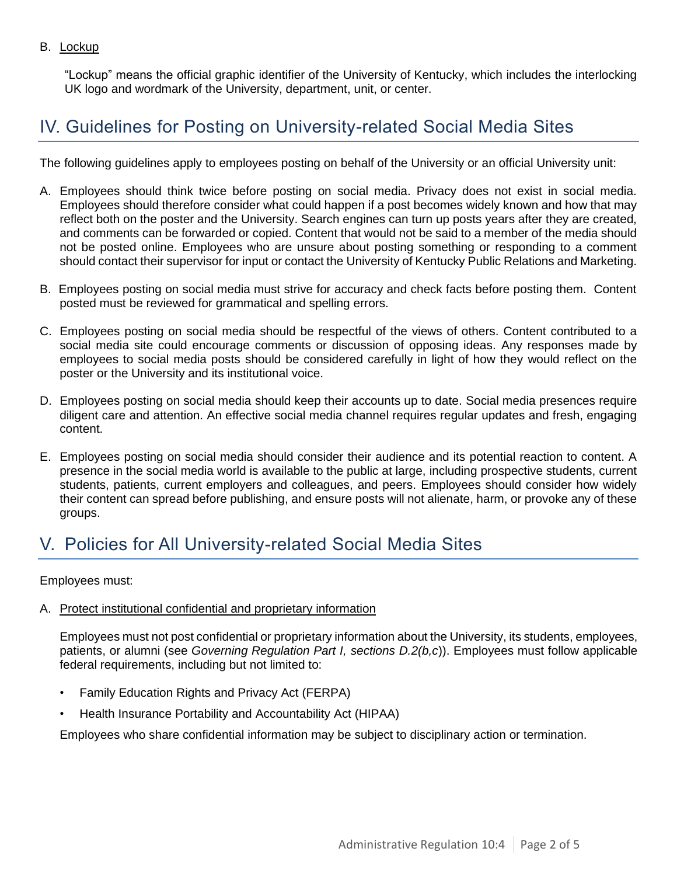### B. Lockup

"Lockup" means the official graphic identifier of the University of Kentucky, which includes the interlocking UK logo and wordmark of the University, department, unit, or center.

### <span id="page-1-0"></span>IV. Guidelines for Posting on University-related Social Media Sites

The following guidelines apply to employees posting on behalf of the University or an official University unit:

- A. Employees should think twice before posting on social media. Privacy does not exist in social media. Employees should therefore consider what could happen if a post becomes widely known and how that may reflect both on the poster and the University. Search engines can turn up posts years after they are created, and comments can be forwarded or copied. Content that would not be said to a member of the media should not be posted online. Employees who are unsure about posting something or responding to a comment should contact their supervisor for input or contact the University of Kentucky Public Relations and Marketing.
- B. Employees posting on social media must strive for accuracy and check facts before posting them. Content posted must be reviewed for grammatical and spelling errors.
- C. Employees posting on social media should be respectful of the views of others. Content contributed to a social media site could encourage comments or discussion of opposing ideas. Any responses made by employees to social media posts should be considered carefully in light of how they would reflect on the poster or the University and its institutional voice.
- D. Employees posting on social media should keep their accounts up to date. Social media presences require diligent care and attention. An effective social media channel requires regular updates and fresh, engaging content.
- E. Employees posting on social media should consider their audience and its potential reaction to content. A presence in the social media world is available to the public at large, including prospective students, current students, patients, current employers and colleagues, and peers. Employees should consider how widely their content can spread before publishing, and ensure posts will not alienate, harm, or provoke any of these groups.

### <span id="page-1-1"></span>V. Policies for All University-related Social Media Sites

#### Employees must:

#### A. Protect institutional confidential and proprietary information

Employees must not post confidential or proprietary information about the University, its students, employees, patients, or alumni (see *Governing Regulation Part I, sections D.2(b,c*)). Employees must follow applicable federal requirements, including but not limited to:

- Family Education Rights and Privacy Act (FERPA)
- Health Insurance Portability and Accountability Act (HIPAA)

Employees who share confidential information may be subject to disciplinary action or termination.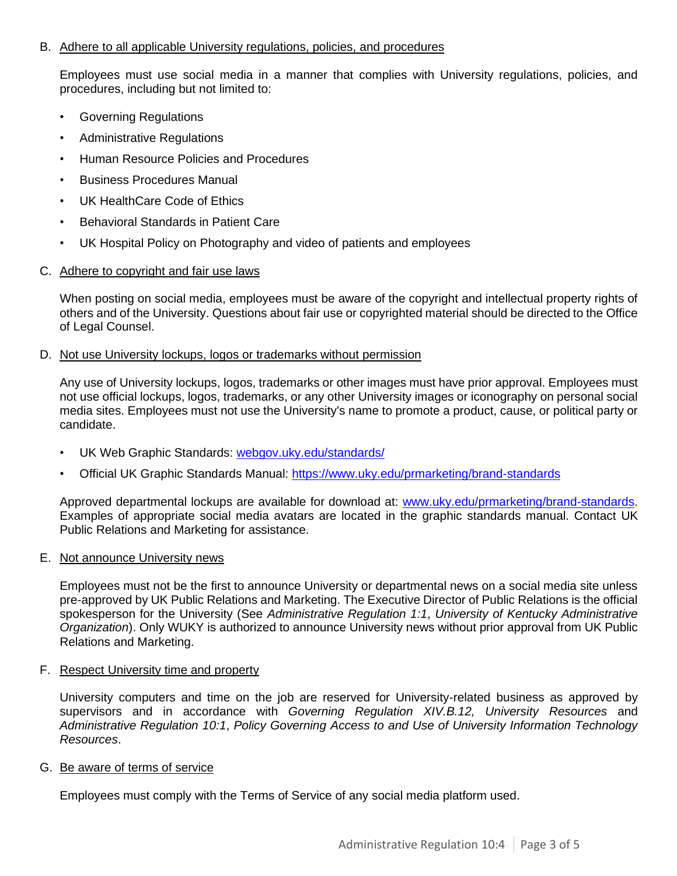#### B. Adhere to all applicable University regulations, policies, and procedures

Employees must use social media in a manner that complies with University regulations, policies, and procedures, including but not limited to:

- Governing Regulations
- Administrative Regulations
- Human Resource Policies and Procedures
- Business Procedures Manual
- UK HealthCare Code of Ethics
- Behavioral Standards in Patient Care
- UK Hospital Policy on Photography and video of patients and employees
- C. Adhere to copyright and fair use laws

When posting on social media, employees must be aware of the copyright and intellectual property rights of others and of the University. Questions about fair use or copyrighted material should be directed to the Office of Legal Counsel.

#### D. Not use University lockups, logos or trademarks without permission

Any use of University lockups, logos, trademarks or other images must have prior approval. Employees must not use official lockups, logos, trademarks, or any other University images or iconography on personal social media sites. Employees must not use the University's name to promote a product, cause, or political party or candidate.

- UK Web Graphic Standards: webgov.uky.edu/standards/
- Official UK Graphic Standards Manual:<https://www.uky.edu/prmarketing/brand-standards>

Approved departmental lockups are available for download at: [www.uky.edu/prmarketing/brand-standards.](http://www.uky.edu/prmarketing/brand-standards) Examples of appropriate social media avatars are located in the graphic standards manual. Contact UK Public Relations and Marketing for assistance.

#### E. Not announce University news

Employees must not be the first to announce University or departmental news on a social media site unless pre-approved by UK Public Relations and Marketing. The Executive Director of Public Relations is the official spokesperson for the University (See *Administrative Regulation 1:1*, *University of Kentucky Administrative Organization*). Only WUKY is authorized to announce University news without prior approval from UK Public Relations and Marketing.

#### F. Respect University time and property

University computers and time on the job are reserved for University-related business as approved by supervisors and in accordance with *Governing Regulation XIV.B.12, University Resources* and *Administrative Regulation 10:1*, *Policy Governing Access to and Use of University Information Technology Resources*.

#### G. Be aware of terms of service

Employees must comply with the Terms of Service of any social media platform used.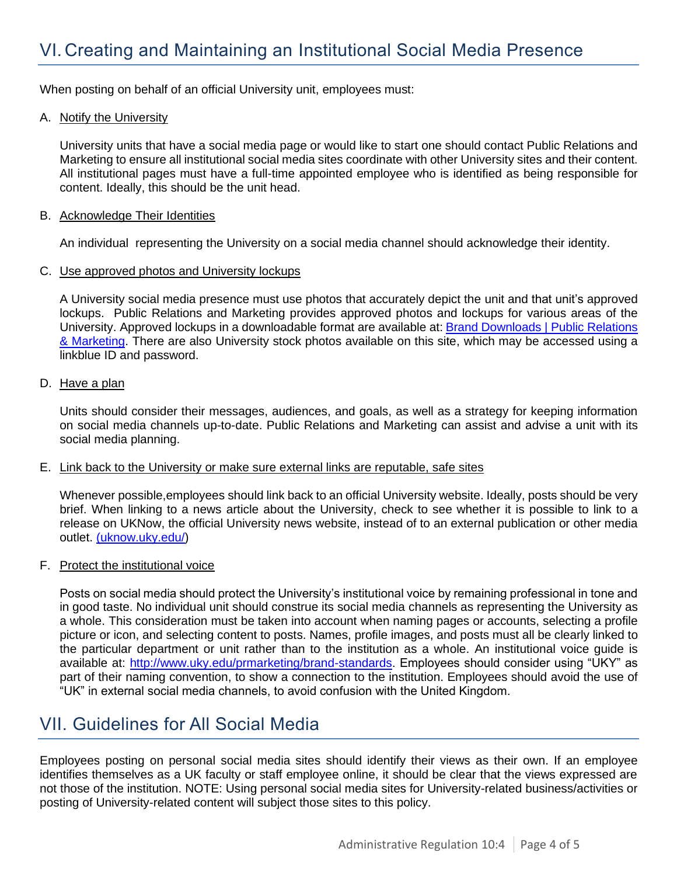<span id="page-3-0"></span>When posting on behalf of an official University unit, employees must:

#### A. Notify the University

University units that have a social media page or would like to start one should contact Public Relations and Marketing to ensure all institutional social media sites coordinate with other University sites and their content. All institutional pages must have a full-time appointed employee who is identified as being responsible for content. Ideally, this should be the unit head.

#### B. Acknowledge Their Identities

An individual representing the University on a social media channel should acknowledge their identity.

#### C. Use approved photos and University lockups

A University social media presence must use photos that accurately depict the unit and that unit's approved lockups. Public Relations and Marketing provides approved photos and lockups for various areas of the University. Approved lockups in a downloadable format are available at: Brand Downloads | Public Relations [& Marketing.](https://www.uky.edu/prmarketing/brand-downloads) There are also University stock photos available on this site, which may be accessed using a linkblue ID and password.

#### D. Have a plan

Units should consider their messages, audiences, and goals, as well as a strategy for keeping information on social media channels up-to-date. Public Relations and Marketing can assist and advise a unit with its social media planning.

#### E. Link back to the University or make sure external links are reputable, safe sites

Whenever possible,employees should link back to an official University website. Ideally, posts should be very brief. When linking to a news article about the University, check to see whether it is possible to link to a release on UKNow, the official University news website, instead of to an external publication or other media outlet. [\(uknow.uky.edu/\)](http://uknow.uky.edu/)

#### F. Protect the institutional voice

Posts on social media should protect the University's institutional voice by remaining professional in tone and in good taste. No individual unit should construe its social media channels as representing the University as a whole. This consideration must be taken into account when naming pages or accounts, selecting a profile picture or icon, and selecting content to posts. Names, profile images, and posts must all be clearly linked to the particular department or unit rather than to the institution as a whole. An institutional voice guide is available at: [http://www.uky.edu/prmarketing/brand-standards.](http://www.uky.edu/prmarketing/brand-standards) Employees should consider using "UKY" as part of their naming convention, to show a connection to the institution. Employees should avoid the use of "UK" in external social media channels, to avoid confusion with the United Kingdom.

### <span id="page-3-1"></span>VII. Guidelines for All Social Media

Employees posting on personal social media sites should identify their views as their own. If an employee identifies themselves as a UK faculty or staff employee online, it should be clear that the views expressed are not those of the institution. NOTE: Using personal social media sites for University-related business/activities or posting of University-related content will subject those sites to this policy.